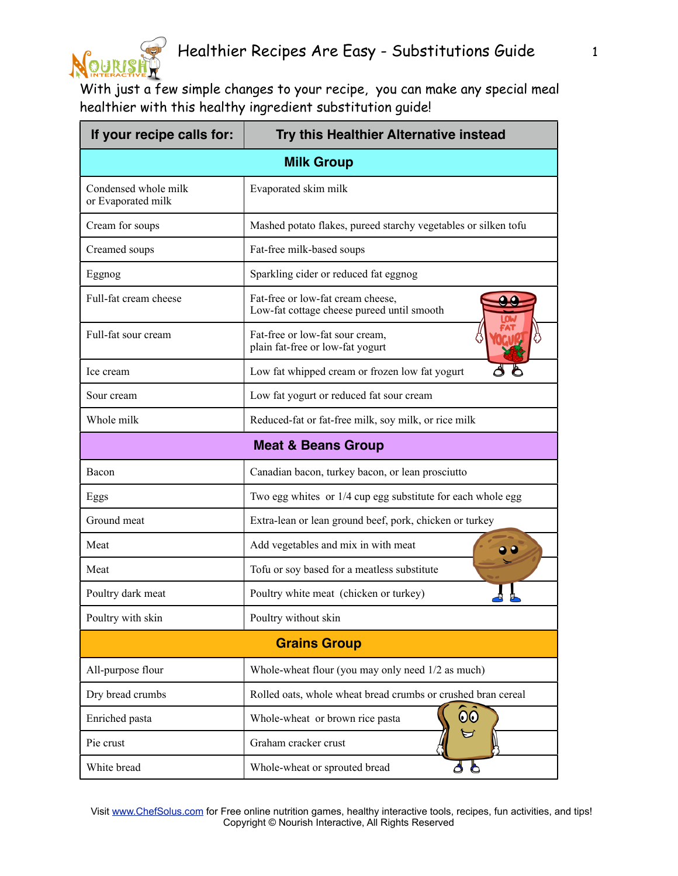

## Healthier Recipes Are Easy - Substitutions Guide 1

With just a few simple changes to your recipe, you can make any special meal healthier with this healthy ingredient substitution guide!

| If your recipe calls for:                  | Try this Healthier Alternative instead                                          |
|--------------------------------------------|---------------------------------------------------------------------------------|
| <b>Milk Group</b>                          |                                                                                 |
| Condensed whole milk<br>or Evaporated milk | Evaporated skim milk                                                            |
| Cream for soups                            | Mashed potato flakes, pureed starchy vegetables or silken tofu                  |
| Creamed soups                              | Fat-free milk-based soups                                                       |
| Eggnog                                     | Sparkling cider or reduced fat eggnog                                           |
| Full-fat cream cheese                      | Fat-free or low-fat cream cheese,<br>Low-fat cottage cheese pureed until smooth |
| Full-fat sour cream                        | Fat-free or low-fat sour cream,<br>plain fat-free or low-fat yogurt             |
| Ice cream                                  | Low fat whipped cream or frozen low fat yogurt                                  |
| Sour cream                                 | Low fat yogurt or reduced fat sour cream                                        |
| Whole milk                                 | Reduced-fat or fat-free milk, soy milk, or rice milk                            |
|                                            | <b>Meat &amp; Beans Group</b>                                                   |
| Bacon                                      | Canadian bacon, turkey bacon, or lean prosciutto                                |
| Eggs                                       | Two egg whites or 1/4 cup egg substitute for each whole egg                     |
| Ground meat                                | Extra-lean or lean ground beef, pork, chicken or turkey                         |
| Meat                                       | Add vegetables and mix in with meat                                             |
| Meat                                       | Tofu or soy based for a meatless substitute                                     |
| Poultry dark meat                          | Poultry white meat (chicken or turkey)                                          |
| Poultry with skin                          | Poultry without skin                                                            |
| <b>Grains Group</b>                        |                                                                                 |
| All-purpose flour                          | Whole-wheat flour (you may only need 1/2 as much)                               |
| Dry bread crumbs                           | Rolled oats, whole wheat bread crumbs or crushed bran cereal                    |
| Enriched pasta                             | 00<br>Whole-wheat or brown rice pasta                                           |
| Pie crust                                  | Graham cracker crust                                                            |
| White bread                                | 96<br>Whole-wheat or sprouted bread                                             |

 Visit [www.ChefSolus.com](http://www.ChefSolus.com) for Free online nutrition games, healthy interactive tools, recipes, fun activities, and tips! Copyright © Nourish Interactive, All Rights Reserved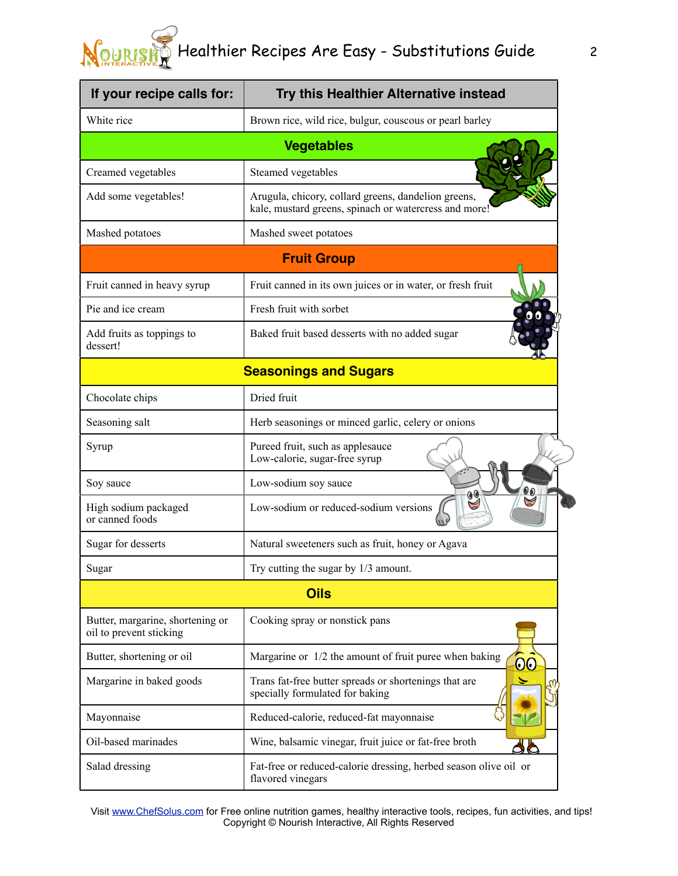## Healthier Recipes Are Easy - Substitutions Guide 2

| If your recipe calls for:                                   | Try this Healthier Alternative instead                                                                       |  |
|-------------------------------------------------------------|--------------------------------------------------------------------------------------------------------------|--|
| White rice                                                  | Brown rice, wild rice, bulgur, couscous or pearl barley                                                      |  |
| <b>Vegetables</b>                                           |                                                                                                              |  |
| Creamed vegetables                                          | Steamed vegetables                                                                                           |  |
| Add some vegetables!                                        | Arugula, chicory, collard greens, dandelion greens,<br>kale, mustard greens, spinach or watercress and more! |  |
| Mashed potatoes                                             | Mashed sweet potatoes                                                                                        |  |
| <b>Fruit Group</b>                                          |                                                                                                              |  |
| Fruit canned in heavy syrup                                 | Fruit canned in its own juices or in water, or fresh fruit                                                   |  |
| Pie and ice cream                                           | Fresh fruit with sorbet                                                                                      |  |
| Add fruits as toppings to<br>dessert!                       | Baked fruit based desserts with no added sugar                                                               |  |
| <b>Seasonings and Sugars</b>                                |                                                                                                              |  |
| Chocolate chips                                             | Dried fruit                                                                                                  |  |
| Seasoning salt                                              | Herb seasonings or minced garlic, celery or onions                                                           |  |
| Syrup                                                       | Pureed fruit, such as applesauce<br>Low-calorie, sugar-free syrup                                            |  |
| Soy sauce                                                   | Low-sodium soy sauce                                                                                         |  |
| High sodium packaged<br>or canned foods                     | Low-sodium or reduced-sodium versions                                                                        |  |
| Sugar for desserts                                          | Natural sweeteners such as fruit, honey or Agava                                                             |  |
| Sugar                                                       | Try cutting the sugar by 1/3 amount.                                                                         |  |
| <b>Oils</b>                                                 |                                                                                                              |  |
| Butter, margarine, shortening or<br>oil to prevent sticking | Cooking spray or nonstick pans                                                                               |  |
| Butter, shortening or oil                                   | Margarine or 1/2 the amount of fruit puree when baking<br>00                                                 |  |
| Margarine in baked goods                                    | Trans fat-free butter spreads or shortenings that are<br>specially formulated for baking                     |  |
| Mayonnaise                                                  | Reduced-calorie, reduced-fat mayonnaise                                                                      |  |
| Oil-based marinades                                         | Wine, balsamic vinegar, fruit juice or fat-free broth                                                        |  |
| Salad dressing                                              | Fat-free or reduced-calorie dressing, herbed season olive oil or<br>flavored vinegars                        |  |

Visit [www.ChefSolus.com](http://www.ChefSolus.com) for Free online nutrition games, healthy interactive tools, recipes, fun activities, and tips! Copyright © Nourish Interactive, All Rights Reserved